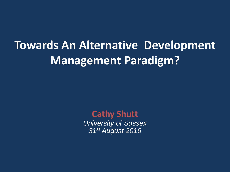# **Towards An Alternative Development Management Paradigm?**

**Cathy Shutt** *University of Sussex 31st August 2016*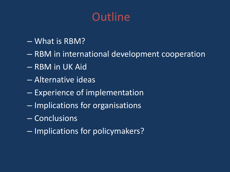## **Outline**

- What is RBM?
- RBM in international development cooperation
- RBM in UK Aid
- Alternative ideas
- Experience of implementation
- Implications for organisations
- Conclusions
- Implications for policymakers?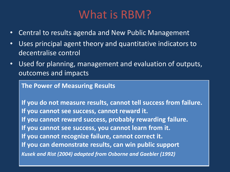#### What is RBM?

- Central to results agenda and New Public Management
- Uses principal agent theory and quantitative indicators to decentralise control
- Used for planning, management and evaluation of outputs, outcomes and impacts

**The Power of Measuring Results**

**If you do not measure results, cannot tell success from failure. If you cannot see success, cannot reward it. If you cannot reward success, probably rewarding failure. If you cannot see success, you cannot learn from it. If you cannot recognize failure, cannot correct it. If you can demonstrate results, can win public support** *Kusek and Rist (2004) adapted from Osborne and Gaebler (1992)*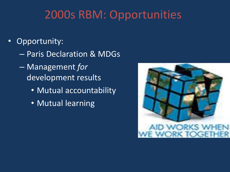### 2000s RBM: Opportunities

- Opportunity:
	- Paris Declaration & MDGs
	- Management *for* development results
		- Mutual accountability
		- Mutual learning

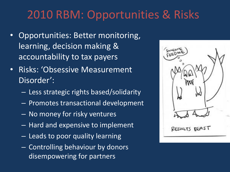### 2010 RBM: Opportunities & Risks

- Opportunities: Better monitoring, learning, decision making & accountability to tax payers
- Risks: 'Obsessive Measurement Disorder':
	- Less strategic rights based/solidarity
	- Promotes transactional development
	- No money for risky ventures
	- Hard and expensive to implement
	- Leads to poor quality learning
	- Controlling behaviour by donors disempowering for partners

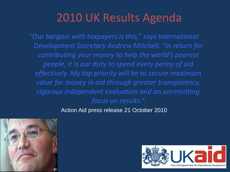### 2010 UK Results Agenda

*"Our bargain with taxpayers is this," says International Development Secretary Andrew Mitchell. "In return for contributing your money to help the world's poorest people, it is our duty to spend every penny of aid effectively. My top priority will be to secure maximum value for money in aid through greater transparency, rigorous independent evaluation and an unremitting focus on results."* 

Action Aid press release 21 October 2010



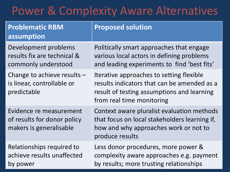### Power & Complexity Aware Alternatives

| <b>Problematic RBM</b><br>assumption                                              | <b>Proposed solution</b>                                                                                                                                           |
|-----------------------------------------------------------------------------------|--------------------------------------------------------------------------------------------------------------------------------------------------------------------|
| Development problems<br>results fix are technical &<br>commonly understood        | Politically smart approaches that engage<br>various local actors in defining problems<br>and leading experiments to find 'best fits'                               |
| Change to achieve results -<br>is linear, controllable or<br>predictable          | Iterative approaches to setting flexible<br>results indicators that can be amended as a<br>result of testing assumptions and learning<br>from real time monitoring |
| Evidence re measurement<br>of results for donor policy<br>makers is generalisable | Context aware pluralist evaluation methods<br>that focus on local stakeholders learning if,<br>how and why approaches work or not to<br>produce results            |
| Relationships required to<br>achieve results unaffected<br>by power               | Less donor procedures, more power &<br>complexity aware approaches e.g. payment<br>by results; more trusting relationships                                         |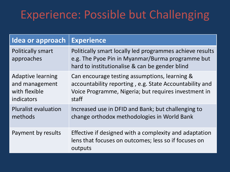# Experience: Possible but Challenging

| Idea or approach                                                          | <b>Experience</b>                                                                                                                                                         |
|---------------------------------------------------------------------------|---------------------------------------------------------------------------------------------------------------------------------------------------------------------------|
| Politically smart<br>approaches                                           | Politically smart locally led programmes achieve results<br>e.g. The Pyoe Pin in Myanmar/Burma programme but<br>hard to institutionalise & can be gender blind            |
| <b>Adaptive learning</b><br>and management<br>with flexible<br>indicators | Can encourage testing assumptions, learning &<br>accountability reporting, e.g. State Accountability and<br>Voice Programme, Nigeria; but requires investment in<br>staff |
| <b>Pluralist evaluation</b><br>methods                                    | Increased use in DFID and Bank; but challenging to<br>change orthodox methodologies in World Bank                                                                         |
| Payment by results                                                        | Effective if designed with a complexity and adaptation<br>lens that focuses on outcomes; less so if focuses on<br>outputs                                                 |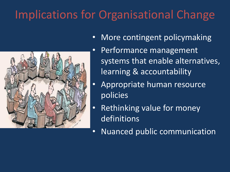# Implications for Organisational Change



- More contingent policymaking
- Performance management systems that enable alternatives, learning & accountability
- Appropriate human resource policies
- Rethinking value for money definitions
- Nuanced public communication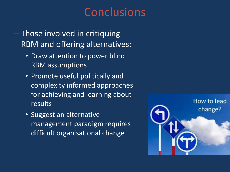### Conclusions

- Those involved in critiquing RBM and offering alternatives:
	- Draw attention to power blind RBM assumptions
	- Promote useful politically and complexity informed approaches for achieving and learning about results
	- Suggest an alternative management paradigm requires difficult organisational change